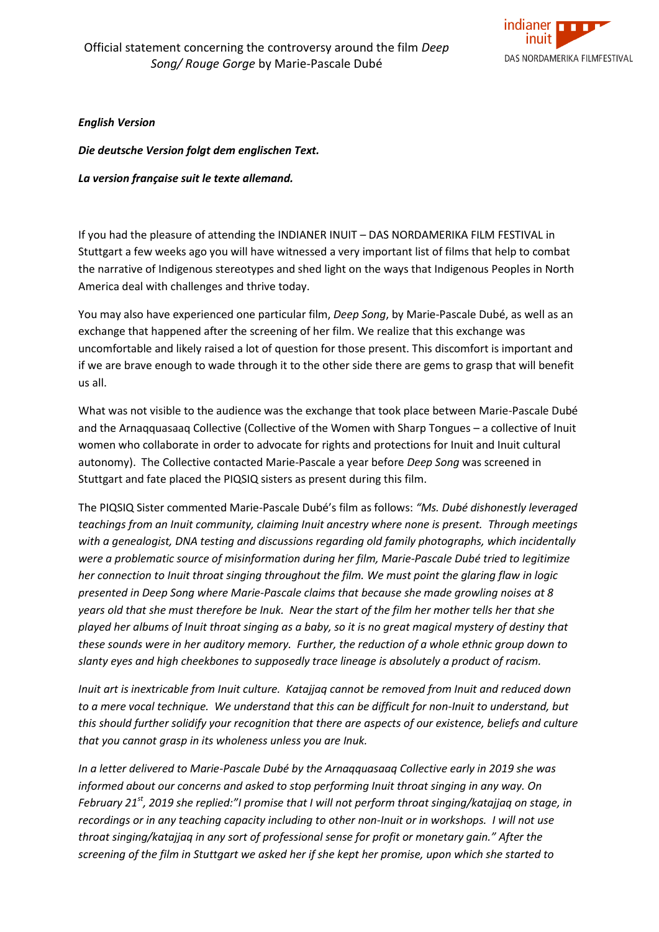

*English Version* 

*Die deutsche Version folgt dem englischen Text.*

*La version française suit le texte allemand.*

If you had the pleasure of attending the INDIANER INUIT – DAS NORDAMERIKA FILM FESTIVAL in Stuttgart a few weeks ago you will have witnessed a very important list of films that help to combat the narrative of Indigenous stereotypes and shed light on the ways that Indigenous Peoples in North America deal with challenges and thrive today.

You may also have experienced one particular film, *Deep Song*, by Marie-Pascale Dubé, as well as an exchange that happened after the screening of her film. We realize that this exchange was uncomfortable and likely raised a lot of question for those present. This discomfort is important and if we are brave enough to wade through it to the other side there are gems to grasp that will benefit us all.

What was not visible to the audience was the exchange that took place between Marie-Pascale Dubé and the Arnaqquasaaq Collective (Collective of the Women with Sharp Tongues – a collective of Inuit women who collaborate in order to advocate for rights and protections for Inuit and Inuit cultural autonomy). The Collective contacted Marie-Pascale a year before *Deep Song* was screened in Stuttgart and fate placed the PIQSIQ sisters as present during this film.

The PIQSIQ Sister commented Marie-Pascale Dubé's film as follows: *"Ms. Dubé dishonestly leveraged teachings from an Inuit community, claiming Inuit ancestry where none is present. Through meetings with a genealogist, DNA testing and discussions regarding old family photographs, which incidentally were a problematic source of misinformation during her film, Marie-Pascale Dubé tried to legitimize her connection to Inuit throat singing throughout the film. We must point the glaring flaw in logic presented in Deep Song where Marie-Pascale claims that because she made growling noises at 8 years old that she must therefore be Inuk. Near the start of the film her mother tells her that she played her albums of Inuit throat singing as a baby, so it is no great magical mystery of destiny that these sounds were in her auditory memory. Further, the reduction of a whole ethnic group down to slanty eyes and high cheekbones to supposedly trace lineage is absolutely a product of racism.* 

*Inuit art is inextricable from Inuit culture. Katajjaq cannot be removed from Inuit and reduced down to a mere vocal technique. We understand that this can be difficult for non-Inuit to understand, but this should further solidify your recognition that there are aspects of our existence, beliefs and culture that you cannot grasp in its wholeness unless you are Inuk.* 

*In a letter delivered to Marie-Pascale Dubé by the Arnaqquasaaq Collective early in 2019 she was informed about our concerns and asked to stop performing Inuit throat singing in any way. On February 21st, 2019 she replied:"I promise that I will not perform throat singing/katajjaq on stage, in recordings or in any teaching capacity including to other non-Inuit or in workshops. I will not use throat singing/katajjaq in any sort of professional sense for profit or monetary gain." After the screening of the film in Stuttgart we asked her if she kept her promise, upon which she started to*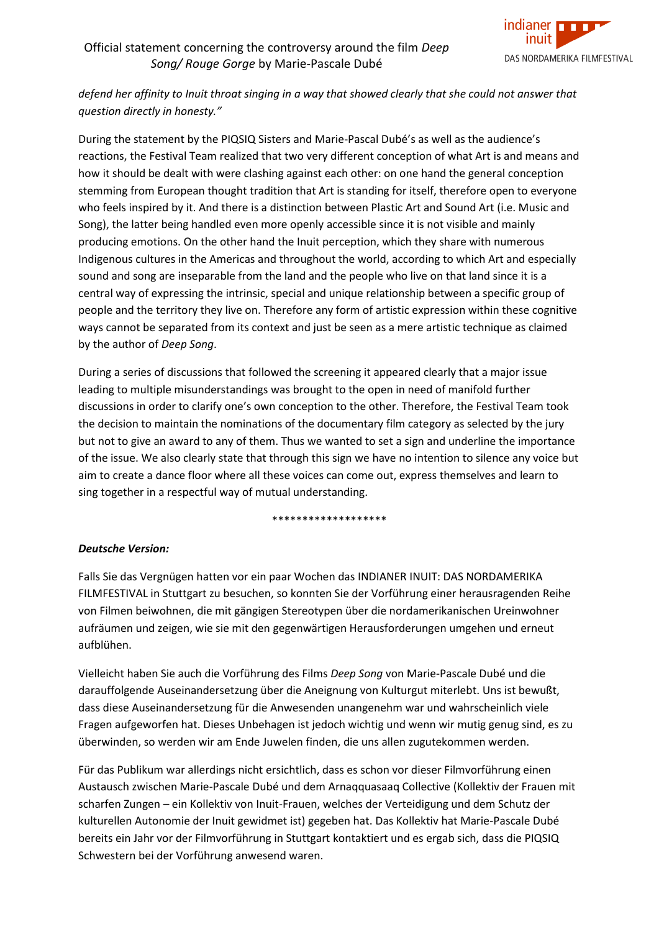

*defend her affinity to Inuit throat singing in a way that showed clearly that she could not answer that question directly in honesty."*

During the statement by the PIQSIQ Sisters and Marie-Pascal Dubé's as well as the audience's reactions, the Festival Team realized that two very different conception of what Art is and means and how it should be dealt with were clashing against each other: on one hand the general conception stemming from European thought tradition that Art is standing for itself, therefore open to everyone who feels inspired by it. And there is a distinction between Plastic Art and Sound Art (i.e. Music and Song), the latter being handled even more openly accessible since it is not visible and mainly producing emotions. On the other hand the Inuit perception, which they share with numerous Indigenous cultures in the Americas and throughout the world, according to which Art and especially sound and song are inseparable from the land and the people who live on that land since it is a central way of expressing the intrinsic, special and unique relationship between a specific group of people and the territory they live on. Therefore any form of artistic expression within these cognitive ways cannot be separated from its context and just be seen as a mere artistic technique as claimed by the author of *Deep Song*.

During a series of discussions that followed the screening it appeared clearly that a major issue leading to multiple misunderstandings was brought to the open in need of manifold further discussions in order to clarify one's own conception to the other. Therefore, the Festival Team took the decision to maintain the nominations of the documentary film category as selected by the jury but not to give an award to any of them. Thus we wanted to set a sign and underline the importance of the issue. We also clearly state that through this sign we have no intention to silence any voice but aim to create a dance floor where all these voices can come out, express themselves and learn to sing together in a respectful way of mutual understanding.

#### \*\*\*\*\*\*\*\*\*\*\*\*\*\*\*\*\*\*

#### *Deutsche Version:*

Falls Sie das Vergnügen hatten vor ein paar Wochen das INDIANER INUIT: DAS NORDAMERIKA FILMFESTIVAL in Stuttgart zu besuchen, so konnten Sie der Vorführung einer herausragenden Reihe von Filmen beiwohnen, die mit gängigen Stereotypen über die nordamerikanischen Ureinwohner aufräumen und zeigen, wie sie mit den gegenwärtigen Herausforderungen umgehen und erneut aufblühen.

Vielleicht haben Sie auch die Vorführung des Films *Deep Song* von Marie-Pascale Dubé und die darauffolgende Auseinandersetzung über die Aneignung von Kulturgut miterlebt. Uns ist bewußt, dass diese Auseinandersetzung für die Anwesenden unangenehm war und wahrscheinlich viele Fragen aufgeworfen hat. Dieses Unbehagen ist jedoch wichtig und wenn wir mutig genug sind, es zu überwinden, so werden wir am Ende Juwelen finden, die uns allen zugutekommen werden.

Für das Publikum war allerdings nicht ersichtlich, dass es schon vor dieser Filmvorführung einen Austausch zwischen Marie-Pascale Dubé und dem Arnaqquasaaq Collective (Kollektiv der Frauen mit scharfen Zungen – ein Kollektiv von Inuit-Frauen, welches der Verteidigung und dem Schutz der kulturellen Autonomie der Inuit gewidmet ist) gegeben hat. Das Kollektiv hat Marie-Pascale Dubé bereits ein Jahr vor der Filmvorführung in Stuttgart kontaktiert und es ergab sich, dass die PIQSIQ Schwestern bei der Vorführung anwesend waren.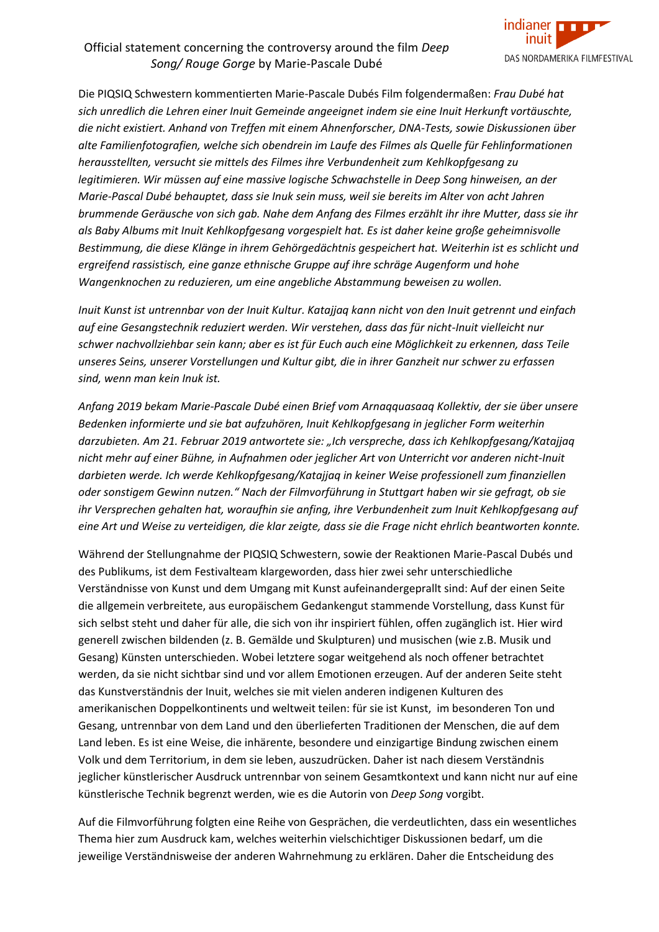

Die PIQSIQ Schwestern kommentierten Marie-Pascale Dubés Film folgendermaßen: *Frau Dubé hat sich unredlich die Lehren einer Inuit Gemeinde angeeignet indem sie eine Inuit Herkunft vortäuschte, die nicht existiert. Anhand von Treffen mit einem Ahnenforscher, DNA-Tests, sowie Diskussionen über alte Familienfotografien, welche sich obendrein im Laufe des Filmes als Quelle für Fehlinformationen herausstellten, versucht sie mittels des Filmes ihre Verbundenheit zum Kehlkopfgesang zu legitimieren. Wir müssen auf eine massive logische Schwachstelle in Deep Song hinweisen, an der Marie-Pascal Dubé behauptet, dass sie Inuk sein muss, weil sie bereits im Alter von acht Jahren brummende Geräusche von sich gab. Nahe dem Anfang des Filmes erzählt ihr ihre Mutter, dass sie ihr als Baby Albums mit Inuit Kehlkopfgesang vorgespielt hat. Es ist daher keine große geheimnisvolle Bestimmung, die diese Klänge in ihrem Gehörgedächtnis gespeichert hat. Weiterhin ist es schlicht und ergreifend rassistisch, eine ganze ethnische Gruppe auf ihre schräge Augenform und hohe Wangenknochen zu reduzieren, um eine angebliche Abstammung beweisen zu wollen.*

*Inuit Kunst ist untrennbar von der Inuit Kultur. Katajjaq kann nicht von den Inuit getrennt und einfach auf eine Gesangstechnik reduziert werden. Wir verstehen, dass das für nicht-Inuit vielleicht nur schwer nachvollziehbar sein kann; aber es ist für Euch auch eine Möglichkeit zu erkennen, dass Teile unseres Seins, unserer Vorstellungen und Kultur gibt, die in ihrer Ganzheit nur schwer zu erfassen sind, wenn man kein Inuk ist.*

*Anfang 2019 bekam Marie-Pascale Dubé einen Brief vom Arnaqquasaaq Kollektiv, der sie über unsere Bedenken informierte und sie bat aufzuhören, Inuit Kehlkopfgesang in jeglicher Form weiterhin darzubieten. Am 21. Februar 2019 antwortete sie: "Ich verspreche, dass ich Kehlkopfgesang/Katajjaq nicht mehr auf einer Bühne, in Aufnahmen oder jeglicher Art von Unterricht vor anderen nicht-Inuit darbieten werde. Ich werde Kehlkopfgesang/Katajjaq in keiner Weise professionell zum finanziellen oder sonstigem Gewinn nutzen." Nach der Filmvorführung in Stuttgart haben wir sie gefragt, ob sie ihr Versprechen gehalten hat, woraufhin sie anfing, ihre Verbundenheit zum Inuit Kehlkopfgesang auf eine Art und Weise zu verteidigen, die klar zeigte, dass sie die Frage nicht ehrlich beantworten konnte.*

Während der Stellungnahme der PIQSIQ Schwestern, sowie der Reaktionen Marie-Pascal Dubés und des Publikums, ist dem Festivalteam klargeworden, dass hier zwei sehr unterschiedliche Verständnisse von Kunst und dem Umgang mit Kunst aufeinandergeprallt sind: Auf der einen Seite die allgemein verbreitete, aus europäischem Gedankengut stammende Vorstellung, dass Kunst für sich selbst steht und daher für alle, die sich von ihr inspiriert fühlen, offen zugänglich ist. Hier wird generell zwischen bildenden (z. B. Gemälde und Skulpturen) und musischen (wie z.B. Musik und Gesang) Künsten unterschieden. Wobei letztere sogar weitgehend als noch offener betrachtet werden, da sie nicht sichtbar sind und vor allem Emotionen erzeugen. Auf der anderen Seite steht das Kunstverständnis der Inuit, welches sie mit vielen anderen indigenen Kulturen des amerikanischen Doppelkontinents und weltweit teilen: für sie ist Kunst, im besonderen Ton und Gesang, untrennbar von dem Land und den überlieferten Traditionen der Menschen, die auf dem Land leben. Es ist eine Weise, die inhärente, besondere und einzigartige Bindung zwischen einem Volk und dem Territorium, in dem sie leben, auszudrücken. Daher ist nach diesem Verständnis jeglicher künstlerischer Ausdruck untrennbar von seinem Gesamtkontext und kann nicht nur auf eine künstlerische Technik begrenzt werden, wie es die Autorin von *Deep Song* vorgibt.

Auf die Filmvorführung folgten eine Reihe von Gesprächen, die verdeutlichten, dass ein wesentliches Thema hier zum Ausdruck kam, welches weiterhin vielschichtiger Diskussionen bedarf, um die jeweilige Verständnisweise der anderen Wahrnehmung zu erklären. Daher die Entscheidung des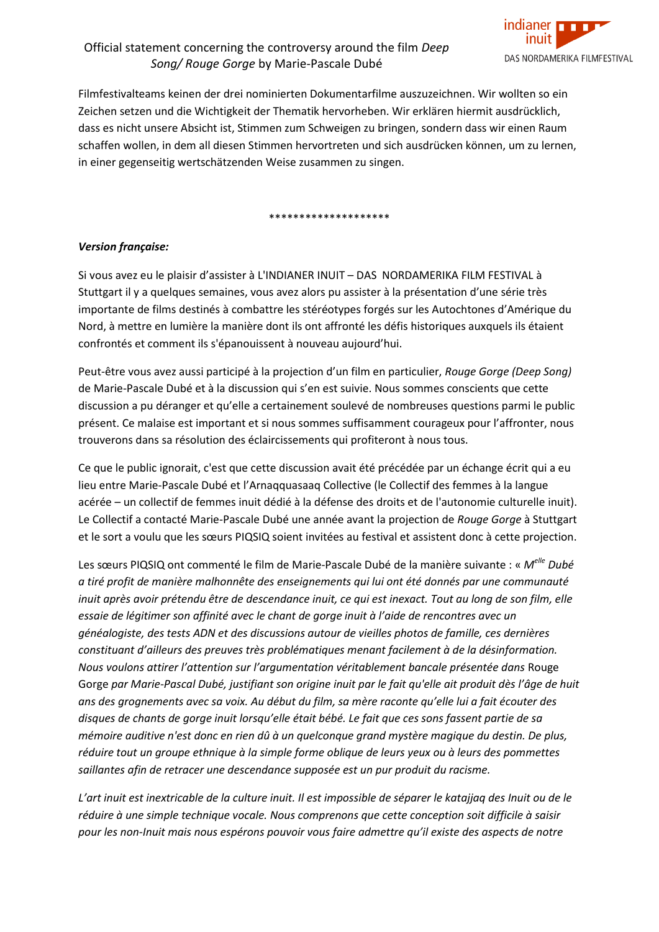

Filmfestivalteams keinen der drei nominierten Dokumentarfilme auszuzeichnen. Wir wollten so ein Zeichen setzen und die Wichtigkeit der Thematik hervorheben. Wir erklären hiermit ausdrücklich, dass es nicht unsere Absicht ist, Stimmen zum Schweigen zu bringen, sondern dass wir einen Raum schaffen wollen, in dem all diesen Stimmen hervortreten und sich ausdrücken können, um zu lernen, in einer gegenseitig wertschätzenden Weise zusammen zu singen.

\*\*\*\*\*\*\*\*\*\*\*\*\*\*\*\*\*\*\*\*

#### *Version française:*

Si vous avez eu le plaisir d'assister à L'INDIANER INUIT – DAS NORDAMERIKA FILM FESTIVAL à Stuttgart il y a quelques semaines, vous avez alors pu assister à la présentation d'une série très importante de films destinés à combattre les stéréotypes forgés sur les Autochtones d'Amérique du Nord, à mettre en lumière la manière dont ils ont affronté les défis historiques auxquels ils étaient confrontés et comment ils s'épanouissent à nouveau aujourd'hui.

Peut-être vous avez aussi participé à la projection d'un film en particulier, *Rouge Gorge (Deep Song)* de Marie-Pascale Dubé et à la discussion qui s'en est suivie. Nous sommes conscients que cette discussion a pu déranger et qu'elle a certainement soulevé de nombreuses questions parmi le public présent. Ce malaise est important et si nous sommes suffisamment courageux pour l'affronter, nous trouverons dans sa résolution des éclaircissements qui profiteront à nous tous.

Ce que le public ignorait, c'est que cette discussion avait été précédée par un échange écrit qui a eu lieu entre Marie-Pascale Dubé et l'Arnaqquasaaq Collective (le Collectif des femmes à la langue acérée – un collectif de femmes inuit dédié à la défense des droits et de l'autonomie culturelle inuit). Le Collectif a contacté Marie-Pascale Dubé une année avant la projection de *Rouge Gorge* à Stuttgart et le sort a voulu que les sœurs PIQSIQ soient invitées au festival et assistent donc à cette projection.

Les sœurs PIQSIQ ont commenté le film de Marie-Pascale Dubé de la manière suivante : « *M elle Dubé a tiré profit de manière malhonnête des enseignements qui lui ont été donnés par une communauté inuit après avoir prétendu être de descendance inuit, ce qui est inexact. Tout au long de son film, elle essaie de légitimer son affinité avec le chant de gorge inuit à l'aide de rencontres avec un généalogiste, des tests ADN et des discussions autour de vieilles photos de famille, ces dernières constituant d'ailleurs des preuves très problématiques menant facilement à de la désinformation. Nous voulons attirer l'attention sur l'argumentation véritablement bancale présentée dans* Rouge Gorge *par Marie-Pascal Dubé, justifiant son origine inuit par le fait qu'elle ait produit dès l'âge de huit ans des grognements avec sa voix. Au début du film, sa mère raconte qu'elle lui a fait écouter des disques de chants de gorge inuit lorsqu'elle était bébé. Le fait que ces sons fassent partie de sa mémoire auditive n'est donc en rien dû à un quelconque grand mystère magique du destin. De plus, réduire tout un groupe ethnique à la simple forme oblique de leurs yeux ou à leurs des pommettes saillantes afin de retracer une descendance supposée est un pur produit du racisme.*

*L'art inuit est inextricable de la culture inuit. Il est impossible de séparer le katajjaq des Inuit ou de le réduire à une simple technique vocale. Nous comprenons que cette conception soit difficile à saisir pour les non-Inuit mais nous espérons pouvoir vous faire admettre qu'il existe des aspects de notre*